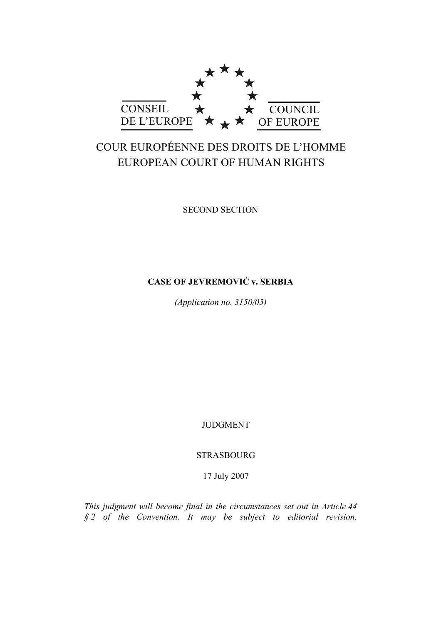

# COUR EUROPÉENNE DES DROITS DE L'HOMME EUROPEAN COURT OF HUMAN RIGHTS

SECOND SECTION

# **CASE OF JEVREMOVIĆ v. SERBIA**

*(Application no. 3150/05)* 

JUDGMENT

STRASBOURG

17 July 2007

*This judgment will become final in the circumstances set out in Article 44 § 2 of the Convention. It may be subject to editorial revision.*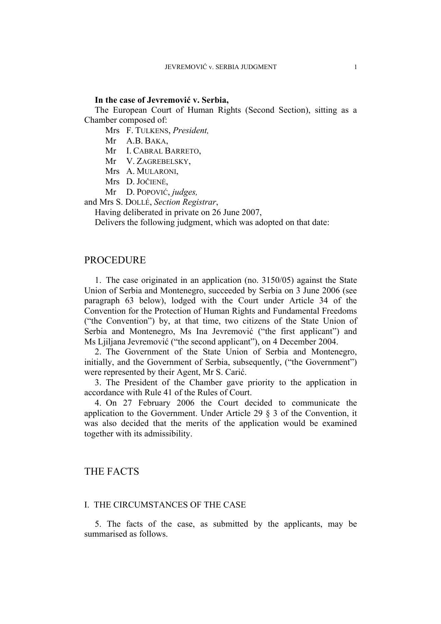#### **In the case of Jevremović v. Serbia,**

The European Court of Human Rights (Second Section), sitting as a Chamber composed of:

Mrs F. TULKENS, *President,* 

Mr A.B. BAKA,

Mr I. CABRAL BARRETO,

Mr V. ZAGREBELSKY,

Mrs A. MULARONI,

Mrs D. JOČIENĖ,

Mr D. POPOVIĆ, *judges,*

and Mrs S. DOLLÉ, *Section Registrar*,

Having deliberated in private on 26 June 2007,

Delivers the following judgment, which was adopted on that date:

# PROCEDURE

1. The case originated in an application (no. 3150/05) against the State Union of Serbia and Montenegro, succeeded by Serbia on 3 June 2006 (see paragraph 63 below), lodged with the Court under Article 34 of the Convention for the Protection of Human Rights and Fundamental Freedoms ("the Convention") by, at that time, two citizens of the State Union of Serbia and Montenegro, Ms Ina Jevremović ("the first applicant") and Ms Ljiljana Jevremović ("the second applicant"), on 4 December 2004.

2. The Government of the State Union of Serbia and Montenegro, initially, and the Government of Serbia, subsequently, ("the Government") were represented by their Agent, Mr S. Carić.

3. The President of the Chamber gave priority to the application in accordance with Rule 41 of the Rules of Court.

4. On 27 February 2006 the Court decided to communicate the application to the Government. Under Article 29 § 3 of the Convention, it was also decided that the merits of the application would be examined together with its admissibility.

# THE FACTS

#### I. THE CIRCUMSTANCES OF THE CASE

5. The facts of the case, as submitted by the applicants, may be summarised as follows.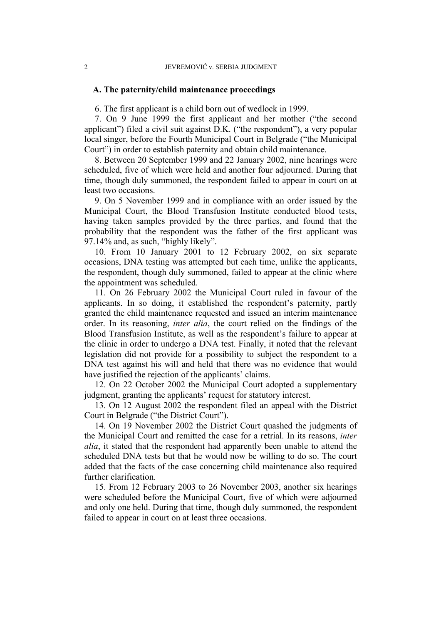#### **A. The paternity/child maintenance proceedings**

6. The first applicant is a child born out of wedlock in 1999.

7. On 9 June 1999 the first applicant and her mother ("the second applicant") filed a civil suit against D.K. ("the respondent"), a very popular local singer, before the Fourth Municipal Court in Belgrade ("the Municipal Court") in order to establish paternity and obtain child maintenance.

8. Between 20 September 1999 and 22 January 2002, nine hearings were scheduled, five of which were held and another four adjourned. During that time, though duly summoned, the respondent failed to appear in court on at least two occasions.

9. On 5 November 1999 and in compliance with an order issued by the Municipal Court, the Blood Transfusion Institute conducted blood tests, having taken samples provided by the three parties, and found that the probability that the respondent was the father of the first applicant was 97.14% and, as such, "highly likely".

10. From 10 January 2001 to 12 February 2002, on six separate occasions, DNA testing was attempted but each time, unlike the applicants, the respondent, though duly summoned, failed to appear at the clinic where the appointment was scheduled.

11. On 26 February 2002 the Municipal Court ruled in favour of the applicants. In so doing, it established the respondent's paternity, partly granted the child maintenance requested and issued an interim maintenance order. In its reasoning, *inter alia*, the court relied on the findings of the Blood Transfusion Institute, as well as the respondent's failure to appear at the clinic in order to undergo a DNA test. Finally, it noted that the relevant legislation did not provide for a possibility to subject the respondent to a DNA test against his will and held that there was no evidence that would have justified the rejection of the applicants' claims.

12. On 22 October 2002 the Municipal Court adopted a supplementary judgment, granting the applicants' request for statutory interest.

13. On 12 August 2002 the respondent filed an appeal with the District Court in Belgrade ("the District Court").

14. On 19 November 2002 the District Court quashed the judgments of the Municipal Court and remitted the case for a retrial. In its reasons, *inter alia*, it stated that the respondent had apparently been unable to attend the scheduled DNA tests but that he would now be willing to do so. The court added that the facts of the case concerning child maintenance also required further clarification.

15. From 12 February 2003 to 26 November 2003, another six hearings were scheduled before the Municipal Court, five of which were adjourned and only one held. During that time, though duly summoned, the respondent failed to appear in court on at least three occasions.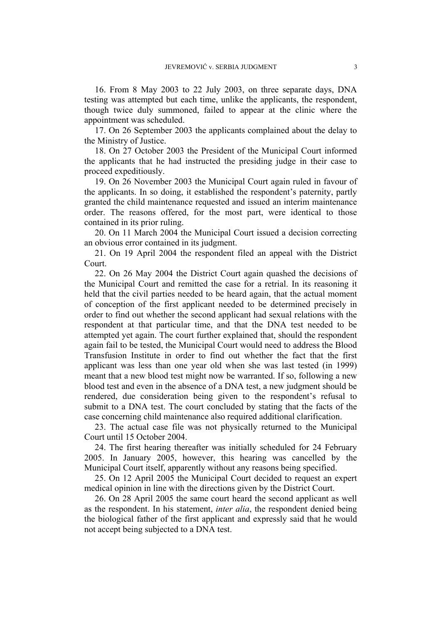16. From 8 May 2003 to 22 July 2003, on three separate days, DNA testing was attempted but each time, unlike the applicants, the respondent, though twice duly summoned, failed to appear at the clinic where the appointment was scheduled.

17. On 26 September 2003 the applicants complained about the delay to the Ministry of Justice.

18. On 27 October 2003 the President of the Municipal Court informed the applicants that he had instructed the presiding judge in their case to proceed expeditiously.

19. On 26 November 2003 the Municipal Court again ruled in favour of the applicants. In so doing, it established the respondent's paternity, partly granted the child maintenance requested and issued an interim maintenance order. The reasons offered, for the most part, were identical to those contained in its prior ruling.

20. On 11 March 2004 the Municipal Court issued a decision correcting an obvious error contained in its judgment.

21. On 19 April 2004 the respondent filed an appeal with the District Court.

22. On 26 May 2004 the District Court again quashed the decisions of the Municipal Court and remitted the case for a retrial. In its reasoning it held that the civil parties needed to be heard again, that the actual moment of conception of the first applicant needed to be determined precisely in order to find out whether the second applicant had sexual relations with the respondent at that particular time, and that the DNA test needed to be attempted yet again. The court further explained that, should the respondent again fail to be tested, the Municipal Court would need to address the Blood Transfusion Institute in order to find out whether the fact that the first applicant was less than one year old when she was last tested (in 1999) meant that a new blood test might now be warranted. If so, following a new blood test and even in the absence of a DNA test, a new judgment should be rendered, due consideration being given to the respondent's refusal to submit to a DNA test. The court concluded by stating that the facts of the case concerning child maintenance also required additional clarification.

23. The actual case file was not physically returned to the Municipal Court until 15 October 2004.

24. The first hearing thereafter was initially scheduled for 24 February 2005. In January 2005, however, this hearing was cancelled by the Municipal Court itself, apparently without any reasons being specified.

25. On 12 April 2005 the Municipal Court decided to request an expert medical opinion in line with the directions given by the District Court.

26. On 28 April 2005 the same court heard the second applicant as well as the respondent. In his statement, *inter alia*, the respondent denied being the biological father of the first applicant and expressly said that he would not accept being subjected to a DNA test.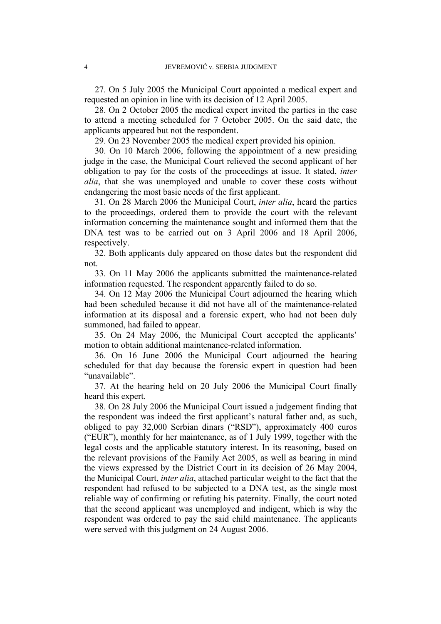27. On 5 July 2005 the Municipal Court appointed a medical expert and requested an opinion in line with its decision of 12 April 2005.

28. On 2 October 2005 the medical expert invited the parties in the case to attend a meeting scheduled for 7 October 2005. On the said date, the applicants appeared but not the respondent.

29. On 23 November 2005 the medical expert provided his opinion.

30. On 10 March 2006, following the appointment of a new presiding judge in the case, the Municipal Court relieved the second applicant of her obligation to pay for the costs of the proceedings at issue. It stated, *inter alia*, that she was unemployed and unable to cover these costs without endangering the most basic needs of the first applicant.

31. On 28 March 2006 the Municipal Court, *inter alia*, heard the parties to the proceedings, ordered them to provide the court with the relevant information concerning the maintenance sought and informed them that the DNA test was to be carried out on 3 April 2006 and 18 April 2006, respectively.

32. Both applicants duly appeared on those dates but the respondent did not.

33. On 11 May 2006 the applicants submitted the maintenance-related information requested. The respondent apparently failed to do so.

34. On 12 May 2006 the Municipal Court adjourned the hearing which had been scheduled because it did not have all of the maintenance-related information at its disposal and a forensic expert, who had not been duly summoned, had failed to appear.

35. On 24 May 2006, the Municipal Court accepted the applicants' motion to obtain additional maintenance-related information.

36. On 16 June 2006 the Municipal Court adjourned the hearing scheduled for that day because the forensic expert in question had been "unavailable".

37. At the hearing held on 20 July 2006 the Municipal Court finally heard this expert.

38. On 28 July 2006 the Municipal Court issued a judgement finding that the respondent was indeed the first applicant's natural father and, as such, obliged to pay 32,000 Serbian dinars ("RSD"), approximately 400 euros ("EUR"), monthly for her maintenance, as of 1 July 1999, together with the legal costs and the applicable statutory interest. In its reasoning, based on the relevant provisions of the Family Act 2005, as well as bearing in mind the views expressed by the District Court in its decision of 26 May 2004, the Municipal Court, *inter alia*, attached particular weight to the fact that the respondent had refused to be subjected to a DNA test, as the single most reliable way of confirming or refuting his paternity. Finally, the court noted that the second applicant was unemployed and indigent, which is why the respondent was ordered to pay the said child maintenance. The applicants were served with this judgment on 24 August 2006.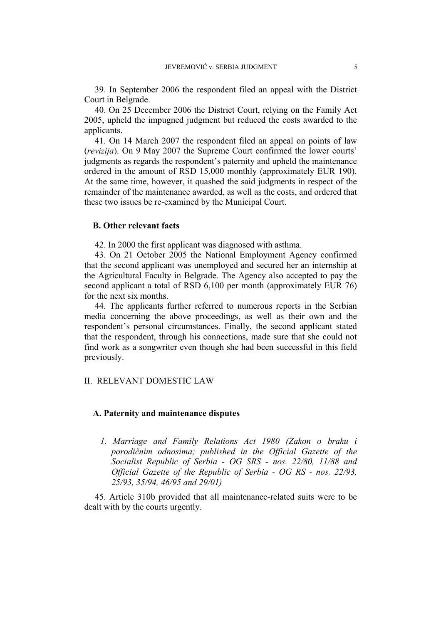39. In September 2006 the respondent filed an appeal with the District Court in Belgrade.

40. On 25 December 2006 the District Court, relying on the Family Act 2005, upheld the impugned judgment but reduced the costs awarded to the applicants.

41. On 14 March 2007 the respondent filed an appeal on points of law (*revizija*). On 9 May 2007 the Supreme Court confirmed the lower courts' judgments as regards the respondent's paternity and upheld the maintenance ordered in the amount of RSD 15,000 monthly (approximately EUR 190). At the same time, however, it quashed the said judgments in respect of the remainder of the maintenance awarded, as well as the costs, and ordered that these two issues be re-examined by the Municipal Court.

# **B. Other relevant facts**

42. In 2000 the first applicant was diagnosed with asthma.

43. On 21 October 2005 the National Employment Agency confirmed that the second applicant was unemployed and secured her an internship at the Agricultural Faculty in Belgrade. The Agency also accepted to pay the second applicant a total of RSD 6,100 per month (approximately EUR 76) for the next six months.

44. The applicants further referred to numerous reports in the Serbian media concerning the above proceedings, as well as their own and the respondent's personal circumstances. Finally, the second applicant stated that the respondent, through his connections, made sure that she could not find work as a songwriter even though she had been successful in this field previously.

## II. RELEVANT DOMESTIC LAW

#### **A. Paternity and maintenance disputes**

*1. Marriage and Family Relations Act 1980 (Zakon o braku i porodičnim odnosima; published in the Official Gazette of the Socialist Republic of Serbia - OG SRS - nos. 22/80, 11/88 and Official Gazette of the Republic of Serbia - OG RS - nos. 22/93, 25/93, 35/94, 46/95 and 29/01)* 

45. Article 310b provided that all maintenance-related suits were to be dealt with by the courts urgently.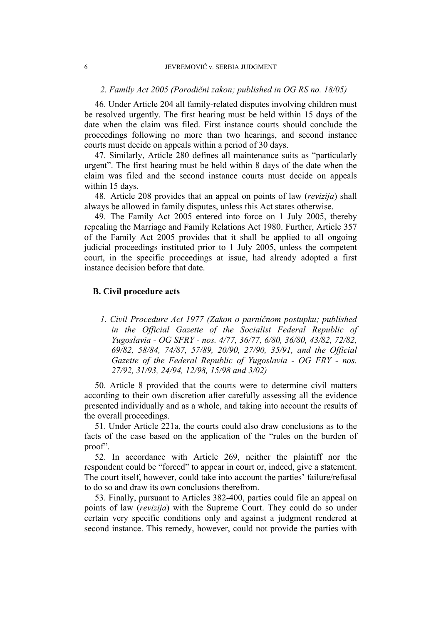## *2. Family Act 2005 (Porodični zakon; published in OG RS no. 18/05)*

46. Under Article 204 all family-related disputes involving children must be resolved urgently. The first hearing must be held within 15 days of the date when the claim was filed. First instance courts should conclude the proceedings following no more than two hearings, and second instance courts must decide on appeals within a period of 30 days.

47. Similarly, Article 280 defines all maintenance suits as "particularly urgent". The first hearing must be held within 8 days of the date when the claim was filed and the second instance courts must decide on appeals within 15 days.

48. Article 208 provides that an appeal on points of law (*revizija*) shall always be allowed in family disputes, unless this Act states otherwise.

49. The Family Act 2005 entered into force on 1 July 2005, thereby repealing the Marriage and Family Relations Act 1980. Further, Article 357 of the Family Act 2005 provides that it shall be applied to all ongoing judicial proceedings instituted prior to 1 July 2005, unless the competent court, in the specific proceedings at issue, had already adopted a first instance decision before that date.

# **B. Civil procedure acts**

*1. Civil Procedure Act 1977 (Zakon o parničnom postupku; published in the Official Gazette of the Socialist Federal Republic of Yugoslavia - OG SFRY - nos. 4/77, 36/77, 6/80, 36/80, 43/82, 72/82, 69/82, 58/84, 74/87, 57/89, 20/90, 27/90, 35/91, and the Official Gazette of the Federal Republic of Yugoslavia - OG FRY - nos. 27/92, 31/93, 24/94, 12/98, 15/98 and 3/02)* 

50. Article 8 provided that the courts were to determine civil matters according to their own discretion after carefully assessing all the evidence presented individually and as a whole, and taking into account the results of the overall proceedings.

51. Under Article 221a, the courts could also draw conclusions as to the facts of the case based on the application of the "rules on the burden of proof".

52. In accordance with Article 269, neither the plaintiff nor the respondent could be "forced" to appear in court or, indeed, give a statement. The court itself, however, could take into account the parties' failure/refusal to do so and draw its own conclusions therefrom.

53. Finally, pursuant to Articles 382-400, parties could file an appeal on points of law (*revizija*) with the Supreme Court. They could do so under certain very specific conditions only and against a judgment rendered at second instance. This remedy, however, could not provide the parties with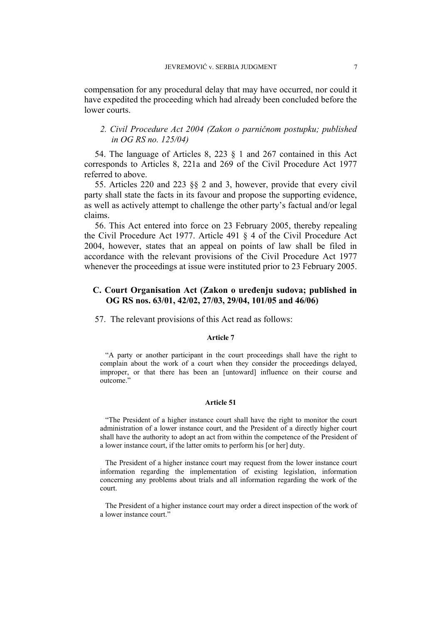compensation for any procedural delay that may have occurred, nor could it have expedited the proceeding which had already been concluded before the lower courts.

# *2. Civil Procedure Act 2004 (Zakon o parničnom postupku; published in OG RS no. 125/04)*

54. The language of Articles 8, 223 § 1 and 267 contained in this Act corresponds to Articles 8, 221a and 269 of the Civil Procedure Act 1977 referred to above.

55. Articles 220 and 223 §§ 2 and 3, however, provide that every civil party shall state the facts in its favour and propose the supporting evidence, as well as actively attempt to challenge the other party's factual and/or legal claims.

56. This Act entered into force on 23 February 2005, thereby repealing the Civil Procedure Act 1977. Article 491 § 4 of the Civil Procedure Act 2004, however, states that an appeal on points of law shall be filed in accordance with the relevant provisions of the Civil Procedure Act 1977 whenever the proceedings at issue were instituted prior to 23 February 2005.

# **C. Court Organisation Act (Zakon o uređenju sudova; published in OG RS nos. 63/01, 42/02, 27/03, 29/04, 101/05 and 46/06)**

57. The relevant provisions of this Act read as follows:

#### **Article 7**

"A party or another participant in the court proceedings shall have the right to complain about the work of a court when they consider the proceedings delayed, improper, or that there has been an [untoward] influence on their course and outcome."

#### **Article 51**

"The President of a higher instance court shall have the right to monitor the court administration of a lower instance court, and the President of a directly higher court shall have the authority to adopt an act from within the competence of the President of a lower instance court, if the latter omits to perform his [or her] duty.

The President of a higher instance court may request from the lower instance court information regarding the implementation of existing legislation, information concerning any problems about trials and all information regarding the work of the court.

The President of a higher instance court may order a direct inspection of the work of a lower instance court."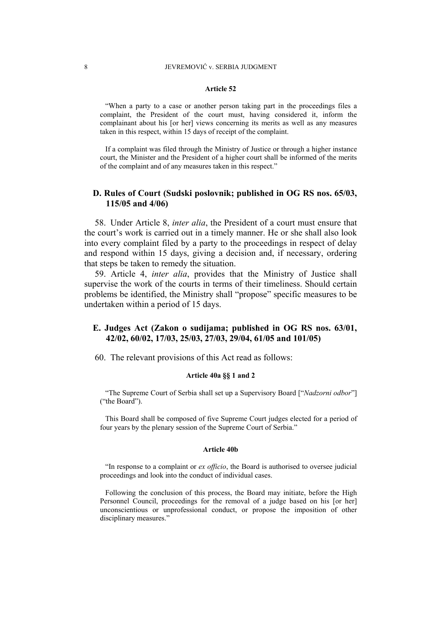#### **Article 52**

"When a party to a case or another person taking part in the proceedings files a complaint, the President of the court must, having considered it, inform the complainant about his [or her] views concerning its merits as well as any measures taken in this respect, within 15 days of receipt of the complaint.

If a complaint was filed through the Ministry of Justice or through a higher instance court, the Minister and the President of a higher court shall be informed of the merits of the complaint and of any measures taken in this respect."

# **D. Rules of Court (Sudski poslovnik; published in OG RS nos. 65/03, 115/05 and 4/06)**

58. Under Article 8, *inter alia*, the President of a court must ensure that the court's work is carried out in a timely manner. He or she shall also look into every complaint filed by a party to the proceedings in respect of delay and respond within 15 days, giving a decision and, if necessary, ordering that steps be taken to remedy the situation.

59. Article 4, *inter alia*, provides that the Ministry of Justice shall supervise the work of the courts in terms of their timeliness. Should certain problems be identified, the Ministry shall "propose" specific measures to be undertaken within a period of 15 days.

# **E. Judges Act (Zakon o sudijama; published in OG RS nos. 63/01, 42/02, 60/02, 17/03, 25/03, 27/03, 29/04, 61/05 and 101/05)**

60. The relevant provisions of this Act read as follows:

#### **Article 40a §§ 1 and 2**

"The Supreme Court of Serbia shall set up a Supervisory Board ["*Nadzorni odbor*"] ("the Board").

This Board shall be composed of five Supreme Court judges elected for a period of four years by the plenary session of the Supreme Court of Serbia."

#### **Article 40b**

"In response to a complaint or *ex officio*, the Board is authorised to oversee judicial proceedings and look into the conduct of individual cases.

Following the conclusion of this process, the Board may initiate, before the High Personnel Council, proceedings for the removal of a judge based on his [or her] unconscientious or unprofessional conduct, or propose the imposition of other disciplinary measures."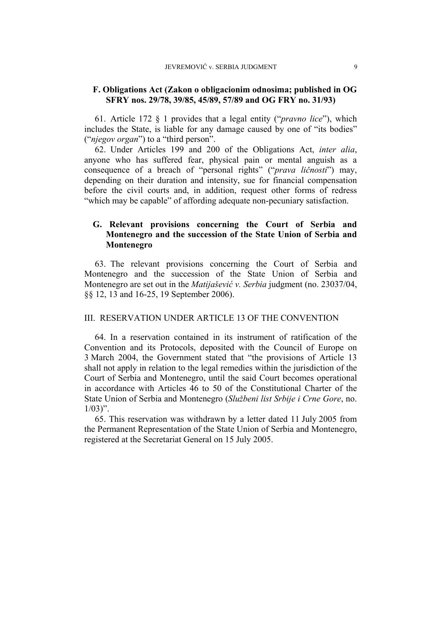# **F. Obligations Act (Zakon o obligacionim odnosima; published in OG SFRY nos. 29/78, 39/85, 45/89, 57/89 and OG FRY no. 31/93)**

61. Article 172 § 1 provides that a legal entity ("*pravno lice*"), which includes the State, is liable for any damage caused by one of "its bodies" ("*njegov organ*") to a "third person".

62. Under Articles 199 and 200 of the Obligations Act, *inter alia*, anyone who has suffered fear, physical pain or mental anguish as a consequence of a breach of "personal rights" ("*prava ličnosti*") may, depending on their duration and intensity, sue for financial compensation before the civil courts and, in addition, request other forms of redress "which may be capable" of affording adequate non-pecuniary satisfaction.

# **G. Relevant provisions concerning the Court of Serbia and Montenegro and the succession of the State Union of Serbia and Montenegro**

63. The relevant provisions concerning the Court of Serbia and Montenegro and the succession of the State Union of Serbia and Montenegro are set out in the *Matijašević v. Serbia* judgment (no. 23037/04, §§ 12, 13 and 16-25, 19 September 2006).

#### III. RESERVATION UNDER ARTICLE 13 OF THE CONVENTION

64. In a reservation contained in its instrument of ratification of the Convention and its Protocols, deposited with the Council of Europe on 3 March 2004, the Government stated that "the provisions of Article 13 shall not apply in relation to the legal remedies within the jurisdiction of the Court of Serbia and Montenegro, until the said Court becomes operational in accordance with Articles 46 to 50 of the Constitutional Charter of the State Union of Serbia and Montenegro (*Službeni list Srbije i Crne Gore*, no.  $1/03$ ".

65. This reservation was withdrawn by a letter dated 11 July 2005 from the Permanent Representation of the State Union of Serbia and Montenegro, registered at the Secretariat General on 15 July 2005.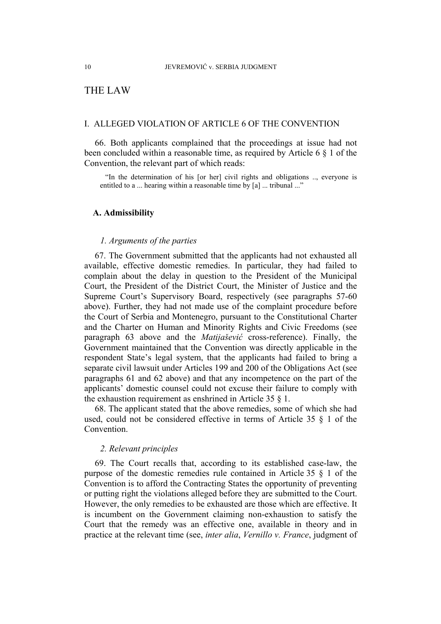# THE LAW

# I. ALLEGED VIOLATION OF ARTICLE 6 OF THE CONVENTION

66. Both applicants complained that the proceedings at issue had not been concluded within a reasonable time, as required by Article 6 § 1 of the Convention, the relevant part of which reads:

"In the determination of his [or her] civil rights and obligations .., everyone is entitled to a ... hearing within a reasonable time by [a] ... tribunal ..."

## **A. Admissibility**

## *1. Arguments of the parties*

67. The Government submitted that the applicants had not exhausted all available, effective domestic remedies. In particular, they had failed to complain about the delay in question to the President of the Municipal Court, the President of the District Court, the Minister of Justice and the Supreme Court's Supervisory Board, respectively (see paragraphs 57-60 above). Further, they had not made use of the complaint procedure before the Court of Serbia and Montenegro, pursuant to the Constitutional Charter and the Charter on Human and Minority Rights and Civic Freedoms (see paragraph 63 above and the *Matijašević* cross-reference). Finally, the Government maintained that the Convention was directly applicable in the respondent State's legal system, that the applicants had failed to bring a separate civil lawsuit under Articles 199 and 200 of the Obligations Act (see paragraphs 61 and 62 above) and that any incompetence on the part of the applicants' domestic counsel could not excuse their failure to comply with the exhaustion requirement as enshrined in Article 35 § 1.

68. The applicant stated that the above remedies, some of which she had used, could not be considered effective in terms of Article 35 § 1 of the **Convention** 

#### *2. Relevant principles*

69. The Court recalls that, according to its established case-law, the purpose of the domestic remedies rule contained in Article 35 § 1 of the Convention is to afford the Contracting States the opportunity of preventing or putting right the violations alleged before they are submitted to the Court. However, the only remedies to be exhausted are those which are effective. It is incumbent on the Government claiming non-exhaustion to satisfy the Court that the remedy was an effective one, available in theory and in practice at the relevant time (see, *inter alia*, *Vernillo v. France*, judgment of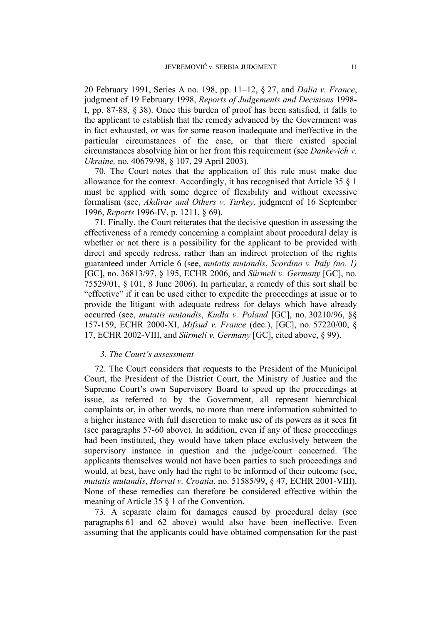20 February 1991, Series A no. 198, pp. 11–12, § 27, and *Dalia v. France*, judgment of 19 February 1998, *Reports of Judgements and Decisions* 1998- I, pp. 87-88, § 38). Once this burden of proof has been satisfied, it falls to the applicant to establish that the remedy advanced by the Government was in fact exhausted, or was for some reason inadequate and ineffective in the particular circumstances of the case, or that there existed special circumstances absolving him or her from this requirement (see *Dankevich v. Ukraine,* no. 40679/98, § 107, 29 April 2003).

70. The Court notes that the application of this rule must make due allowance for the context. Accordingly, it has recognised that Article 35 § 1 must be applied with some degree of flexibility and without excessive formalism (see, *Akdivar and Others v. Turkey,* judgment of 16 September 1996, *Reports* 1996-IV, p. 1211, § 69).

71. Finally, the Court reiterates that the decisive question in assessing the effectiveness of a remedy concerning a complaint about procedural delay is whether or not there is a possibility for the applicant to be provided with direct and speedy redress, rather than an indirect protection of the rights guaranteed under Article 6 (see, *mutatis mutandis*, *Scordino v. Italy (no. 1)* [GC], no. 36813/97, § 195, ECHR 2006, and *Sürmeli v. Germany* [GC], no. 75529/01, § 101, 8 June 2006). In particular, a remedy of this sort shall be "effective" if it can be used either to expedite the proceedings at issue or to provide the litigant with adequate redress for delays which have already occurred (see, *mutatis mutandis*, *Kudła v. Poland* [GC], no. 30210/96, §§ 157-159, ECHR 2000-XI, *Mifsud v. France* (dec.), [GC], no. 57220/00, § 17, ECHR 2002-VIII, and *Sürmeli v. Germany* [GC], cited above, § 99).

#### *3. The Court's assessment*

72. The Court considers that requests to the President of the Municipal Court, the President of the District Court, the Ministry of Justice and the Supreme Court's own Supervisory Board to speed up the proceedings at issue, as referred to by the Government, all represent hierarchical complaints or, in other words, no more than mere information submitted to a higher instance with full discretion to make use of its powers as it sees fit (see paragraphs 57-60 above). In addition, even if any of these proceedings had been instituted, they would have taken place exclusively between the supervisory instance in question and the judge/court concerned. The applicants themselves would not have been parties to such proceedings and would, at best, have only had the right to be informed of their outcome (see, *mutatis mutandis*, *Horvat v. Croatia*, no. 51585/99, § 47, ECHR 2001-VIII). None of these remedies can therefore be considered effective within the meaning of Article 35 § 1 of the Convention.

73. A separate claim for damages caused by procedural delay (see paragraphs 61 and 62 above) would also have been ineffective. Even assuming that the applicants could have obtained compensation for the past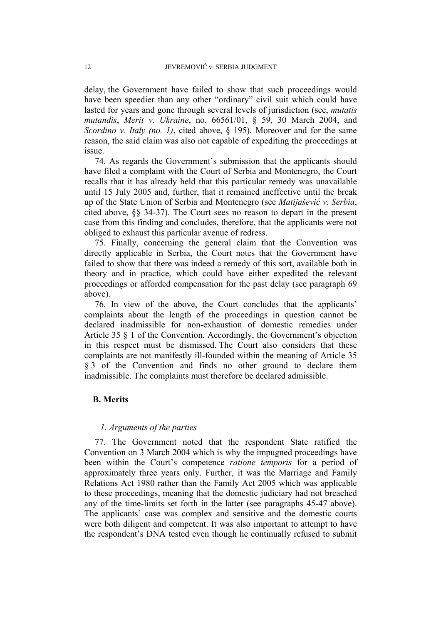delay, the Government have failed to show that such proceedings would have been speedier than any other "ordinary" civil suit which could have lasted for years and gone through several levels of jurisdiction (see, *mutatis mutandis*, *Merit v. Ukraine*, no. 66561/01, § 59, 30 March 2004, and *Scordino v. Italy (no. 1)*, cited above, § 195). Moreover and for the same reason, the said claim was also not capable of expediting the proceedings at issue.

74. As regards the Government's submission that the applicants should have filed a complaint with the Court of Serbia and Montenegro, the Court recalls that it has already held that this particular remedy was unavailable until 15 July 2005 and, further, that it remained ineffective until the break up of the State Union of Serbia and Montenegro (see *Matijašević v. Serbia*, cited above, §§ 34-37). The Court sees no reason to depart in the present case from this finding and concludes, therefore, that the applicants were not obliged to exhaust this particular avenue of redress.

75. Finally, concerning the general claim that the Convention was directly applicable in Serbia, the Court notes that the Government have failed to show that there was indeed a remedy of this sort, available both in theory and in practice, which could have either expedited the relevant proceedings or afforded compensation for the past delay (see paragraph 69 above).

76. In view of the above, the Court concludes that the applicants' complaints about the length of the proceedings in question cannot be declared inadmissible for non-exhaustion of domestic remedies under Article 35 § 1 of the Convention. Accordingly, the Government's objection in this respect must be dismissed. The Court also considers that these complaints are not manifestly ill-founded within the meaning of Article 35 § 3 of the Convention and finds no other ground to declare them inadmissible. The complaints must therefore be declared admissible.

#### **B. Merits**

## *1. Arguments of the parties*

77. The Government noted that the respondent State ratified the Convention on 3 March 2004 which is why the impugned proceedings have been within the Court's competence *ratione temporis* for a period of approximately three years only. Further, it was the Marriage and Family Relations Act 1980 rather than the Family Act 2005 which was applicable to these proceedings, meaning that the domestic judiciary had not breached any of the time-limits set forth in the latter (see paragraphs 45-47 above). The applicants' case was complex and sensitive and the domestic courts were both diligent and competent. It was also important to attempt to have the respondent's DNA tested even though he continually refused to submit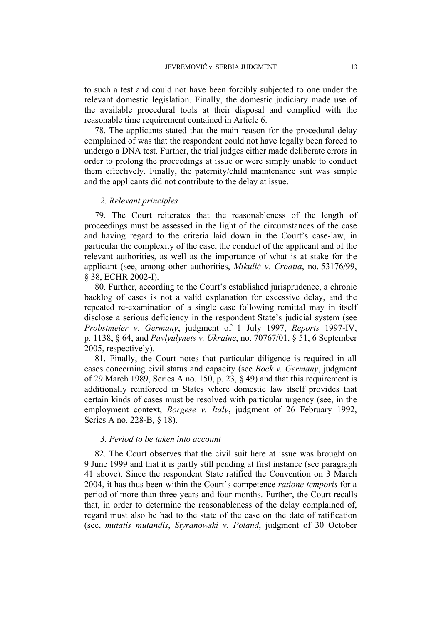to such a test and could not have been forcibly subjected to one under the relevant domestic legislation. Finally, the domestic judiciary made use of the available procedural tools at their disposal and complied with the reasonable time requirement contained in Article 6.

78. The applicants stated that the main reason for the procedural delay complained of was that the respondent could not have legally been forced to undergo a DNA test. Further, the trial judges either made deliberate errors in order to prolong the proceedings at issue or were simply unable to conduct them effectively. Finally, the paternity/child maintenance suit was simple and the applicants did not contribute to the delay at issue.

#### *2. Relevant principles*

79. The Court reiterates that the reasonableness of the length of proceedings must be assessed in the light of the circumstances of the case and having regard to the criteria laid down in the Court's case-law, in particular the complexity of the case, the conduct of the applicant and of the relevant authorities, as well as the importance of what is at stake for the applicant (see, among other authorities, *Mikulić v. Croatia*, no. 53176/99, § 38, ECHR 2002-I).

80. Further, according to the Court's established jurisprudence, a chronic backlog of cases is not a valid explanation for excessive delay, and the repeated re-examination of a single case following remittal may in itself disclose a serious deficiency in the respondent State's judicial system (see *Probstmeier v. Germany*, judgment of 1 July 1997, *Reports* 1997-IV, p. 1138, § 64, and *Pavlyulynets v. Ukraine*, no. 70767/01, § 51, 6 September 2005, respectively).

81. Finally, the Court notes that particular diligence is required in all cases concerning civil status and capacity (see *Bock v. Germany*, judgment of 29 March 1989, Series A no. 150, p. 23, § 49) and that this requirement is additionally reinforced in States where domestic law itself provides that certain kinds of cases must be resolved with particular urgency (see, in the employment context, *Borgese v. Italy*, judgment of 26 February 1992, Series A no. 228-B, § 18).

#### *3. Period to be taken into account*

82. The Court observes that the civil suit here at issue was brought on 9 June 1999 and that it is partly still pending at first instance (see paragraph 41 above). Since the respondent State ratified the Convention on 3 March 2004, it has thus been within the Court's competence *ratione temporis* for a period of more than three years and four months. Further, the Court recalls that, in order to determine the reasonableness of the delay complained of, regard must also be had to the state of the case on the date of ratification (see, *mutatis mutandis*, *Styranowski v. Poland*, judgment of 30 October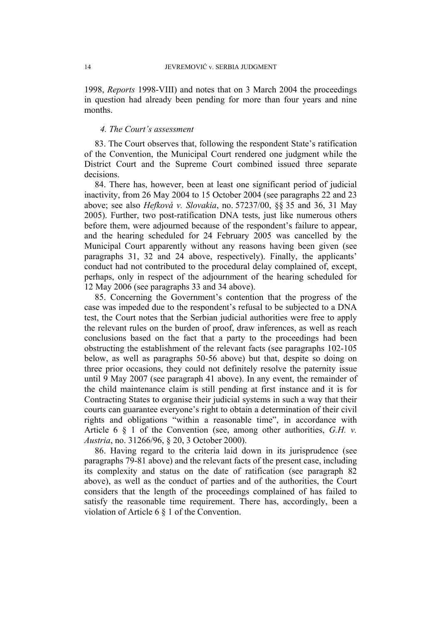1998, *Reports* 1998-VIII) and notes that on 3 March 2004 the proceedings in question had already been pending for more than four years and nine months.

#### *4. The Court's assessment*

83. The Court observes that, following the respondent State's ratification of the Convention, the Municipal Court rendered one judgment while the District Court and the Supreme Court combined issued three separate decisions.

84. There has, however, been at least one significant period of judicial inactivity, from 26 May 2004 to 15 October 2004 (see paragraphs 22 and 23 above; see also *Hefková v. Slovakia*, no. 57237/00, §§ 35 and 36, 31 May 2005). Further, two post-ratification DNA tests, just like numerous others before them, were adjourned because of the respondent's failure to appear, and the hearing scheduled for 24 February 2005 was cancelled by the Municipal Court apparently without any reasons having been given (see paragraphs 31, 32 and 24 above, respectively). Finally, the applicants' conduct had not contributed to the procedural delay complained of, except, perhaps, only in respect of the adjournment of the hearing scheduled for 12 May 2006 (see paragraphs 33 and 34 above).

85. Concerning the Government's contention that the progress of the case was impeded due to the respondent's refusal to be subjected to a DNA test, the Court notes that the Serbian judicial authorities were free to apply the relevant rules on the burden of proof, draw inferences, as well as reach conclusions based on the fact that a party to the proceedings had been obstructing the establishment of the relevant facts (see paragraphs 102-105 below, as well as paragraphs 50-56 above) but that, despite so doing on three prior occasions, they could not definitely resolve the paternity issue until 9 May 2007 (see paragraph 41 above). In any event, the remainder of the child maintenance claim is still pending at first instance and it is for Contracting States to organise their judicial systems in such a way that their courts can guarantee everyone's right to obtain a determination of their civil rights and obligations "within a reasonable time", in accordance with Article 6 § 1 of the Convention (see, among other authorities, *G.H. v. Austria*, no. 31266/96, § 20, 3 October 2000).

86. Having regard to the criteria laid down in its jurisprudence (see paragraphs 79-81 above) and the relevant facts of the present case, including its complexity and status on the date of ratification (see paragraph 82 above), as well as the conduct of parties and of the authorities, the Court considers that the length of the proceedings complained of has failed to satisfy the reasonable time requirement. There has, accordingly, been a violation of Article 6 § 1 of the Convention.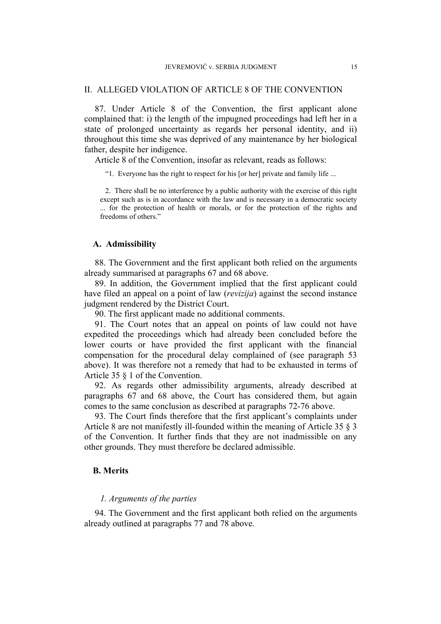# II. ALLEGED VIOLATION OF ARTICLE 8 OF THE CONVENTION

87. Under Article 8 of the Convention, the first applicant alone complained that: i) the length of the impugned proceedings had left her in a state of prolonged uncertainty as regards her personal identity, and ii) throughout this time she was deprived of any maintenance by her biological father, despite her indigence.

Article 8 of the Convention, insofar as relevant, reads as follows:

"1. Everyone has the right to respect for his [or her] private and family life ...

2. There shall be no interference by a public authority with the exercise of this right except such as is in accordance with the law and is necessary in a democratic society ... for the protection of health or morals, or for the protection of the rights and freedoms of others."

## **A. Admissibility**

88. The Government and the first applicant both relied on the arguments already summarised at paragraphs 67 and 68 above.

89. In addition, the Government implied that the first applicant could have filed an appeal on a point of law (*revizija*) against the second instance judgment rendered by the District Court.

90. The first applicant made no additional comments.

91. The Court notes that an appeal on points of law could not have expedited the proceedings which had already been concluded before the lower courts or have provided the first applicant with the financial compensation for the procedural delay complained of (see paragraph 53 above). It was therefore not a remedy that had to be exhausted in terms of Article 35 § 1 of the Convention.

92. As regards other admissibility arguments, already described at paragraphs 67 and 68 above, the Court has considered them, but again comes to the same conclusion as described at paragraphs 72-76 above.

93. The Court finds therefore that the first applicant's complaints under Article 8 are not manifestly ill-founded within the meaning of Article 35 § 3 of the Convention. It further finds that they are not inadmissible on any other grounds. They must therefore be declared admissible.

#### **B. Merits**

# *1. Arguments of the parties*

94. The Government and the first applicant both relied on the arguments already outlined at paragraphs 77 and 78 above.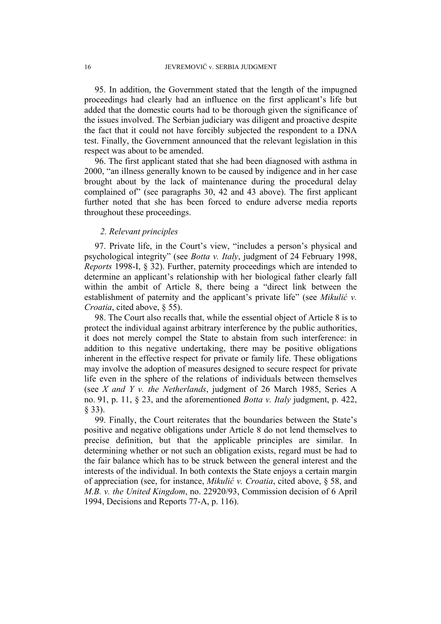95. In addition, the Government stated that the length of the impugned proceedings had clearly had an influence on the first applicant's life but added that the domestic courts had to be thorough given the significance of the issues involved. The Serbian judiciary was diligent and proactive despite the fact that it could not have forcibly subjected the respondent to a DNA test. Finally, the Government announced that the relevant legislation in this respect was about to be amended.

96. The first applicant stated that she had been diagnosed with asthma in 2000, "an illness generally known to be caused by indigence and in her case brought about by the lack of maintenance during the procedural delay complained of" (see paragraphs 30, 42 and 43 above). The first applicant further noted that she has been forced to endure adverse media reports throughout these proceedings.

# *2. Relevant principles*

97. Private life, in the Court's view, "includes a person's physical and psychological integrity" (see *Botta v. Italy*, judgment of 24 February 1998, *Reports* 1998-I, § 32). Further, paternity proceedings which are intended to determine an applicant's relationship with her biological father clearly fall within the ambit of Article 8, there being a "direct link between the establishment of paternity and the applicant's private life" (see *Mikulić v. Croatia*, cited above, § 55).

98. The Court also recalls that, while the essential object of Article 8 is to protect the individual against arbitrary interference by the public authorities, it does not merely compel the State to abstain from such interference: in addition to this negative undertaking, there may be positive obligations inherent in the effective respect for private or family life. These obligations may involve the adoption of measures designed to secure respect for private life even in the sphere of the relations of individuals between themselves (see *X and Y v. the Netherlands*, judgment of 26 March 1985, Series A no. 91, p. 11, § 23, and the aforementioned *Botta v. Italy* judgment, p. 422, § 33).

99. Finally, the Court reiterates that the boundaries between the State's positive and negative obligations under Article 8 do not lend themselves to precise definition, but that the applicable principles are similar. In determining whether or not such an obligation exists, regard must be had to the fair balance which has to be struck between the general interest and the interests of the individual. In both contexts the State enjoys a certain margin of appreciation (see, for instance, *Mikulić v. Croatia*, cited above, § 58, and *M.B. v. the United Kingdom*, no. 22920/93, Commission decision of 6 April 1994, Decisions and Reports 77-A, p. 116).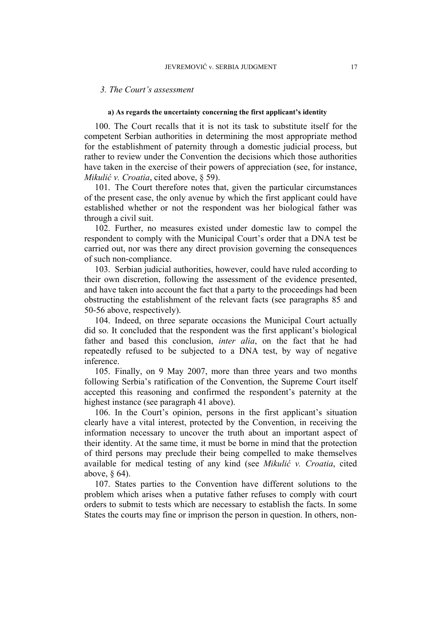#### *3. The Court's assessment*

#### **a) As regards the uncertainty concerning the first applicant's identity**

100. The Court recalls that it is not its task to substitute itself for the competent Serbian authorities in determining the most appropriate method for the establishment of paternity through a domestic judicial process, but rather to review under the Convention the decisions which those authorities have taken in the exercise of their powers of appreciation (see, for instance, *Mikulić v. Croatia*, cited above, § 59).

101. The Court therefore notes that, given the particular circumstances of the present case, the only avenue by which the first applicant could have established whether or not the respondent was her biological father was through a civil suit.

102. Further, no measures existed under domestic law to compel the respondent to comply with the Municipal Court's order that a DNA test be carried out, nor was there any direct provision governing the consequences of such non-compliance.

103. Serbian judicial authorities, however, could have ruled according to their own discretion, following the assessment of the evidence presented, and have taken into account the fact that a party to the proceedings had been obstructing the establishment of the relevant facts (see paragraphs 85 and 50-56 above, respectively).

104. Indeed, on three separate occasions the Municipal Court actually did so. It concluded that the respondent was the first applicant's biological father and based this conclusion, *inter alia*, on the fact that he had repeatedly refused to be subjected to a DNA test, by way of negative inference.

105. Finally, on 9 May 2007, more than three years and two months following Serbia's ratification of the Convention, the Supreme Court itself accepted this reasoning and confirmed the respondent's paternity at the highest instance (see paragraph 41 above).

106. In the Court's opinion, persons in the first applicant's situation clearly have a vital interest, protected by the Convention, in receiving the information necessary to uncover the truth about an important aspect of their identity. At the same time, it must be borne in mind that the protection of third persons may preclude their being compelled to make themselves available for medical testing of any kind (see *Mikulić v. Croatia*, cited above, § 64).

107. States parties to the Convention have different solutions to the problem which arises when a putative father refuses to comply with court orders to submit to tests which are necessary to establish the facts. In some States the courts may fine or imprison the person in question. In others, non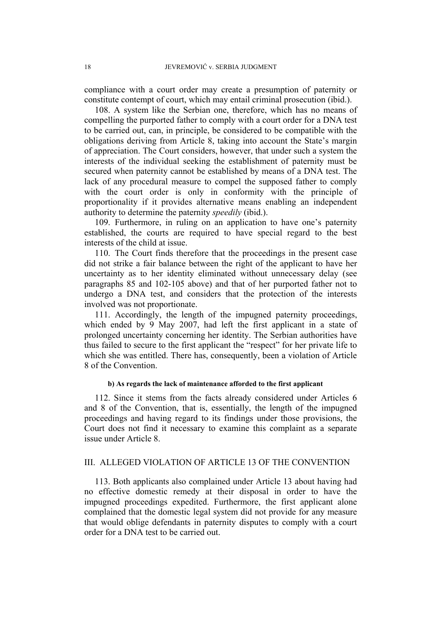compliance with a court order may create a presumption of paternity or constitute contempt of court, which may entail criminal prosecution (ibid.).

108. A system like the Serbian one, therefore, which has no means of compelling the purported father to comply with a court order for a DNA test to be carried out, can, in principle, be considered to be compatible with the obligations deriving from Article 8, taking into account the State's margin of appreciation. The Court considers, however, that under such a system the interests of the individual seeking the establishment of paternity must be secured when paternity cannot be established by means of a DNA test. The lack of any procedural measure to compel the supposed father to comply with the court order is only in conformity with the principle of proportionality if it provides alternative means enabling an independent authority to determine the paternity *speedily* (ibid.).

109. Furthermore, in ruling on an application to have one's paternity established, the courts are required to have special regard to the best interests of the child at issue.

110. The Court finds therefore that the proceedings in the present case did not strike a fair balance between the right of the applicant to have her uncertainty as to her identity eliminated without unnecessary delay (see paragraphs 85 and 102-105 above) and that of her purported father not to undergo a DNA test, and considers that the protection of the interests involved was not proportionate.

111. Accordingly, the length of the impugned paternity proceedings, which ended by 9 May 2007, had left the first applicant in a state of prolonged uncertainty concerning her identity. The Serbian authorities have thus failed to secure to the first applicant the "respect" for her private life to which she was entitled. There has, consequently, been a violation of Article 8 of the Convention.

#### **b) As regards the lack of maintenance afforded to the first applicant**

112. Since it stems from the facts already considered under Articles 6 and 8 of the Convention, that is, essentially, the length of the impugned proceedings and having regard to its findings under those provisions, the Court does not find it necessary to examine this complaint as a separate issue under Article 8.

### III. ALLEGED VIOLATION OF ARTICLE 13 OF THE CONVENTION

113. Both applicants also complained under Article 13 about having had no effective domestic remedy at their disposal in order to have the impugned proceedings expedited. Furthermore, the first applicant alone complained that the domestic legal system did not provide for any measure that would oblige defendants in paternity disputes to comply with a court order for a DNA test to be carried out.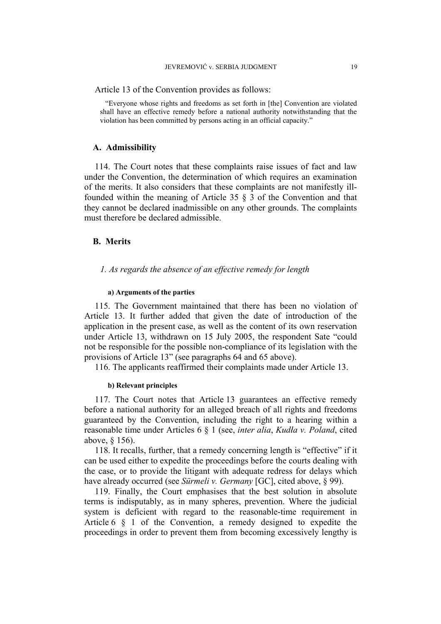Article 13 of the Convention provides as follows:

"Everyone whose rights and freedoms as set forth in [the] Convention are violated shall have an effective remedy before a national authority notwithstanding that the violation has been committed by persons acting in an official capacity."

#### **A. Admissibility**

114. The Court notes that these complaints raise issues of fact and law under the Convention, the determination of which requires an examination of the merits. It also considers that these complaints are not manifestly illfounded within the meaning of Article 35 § 3 of the Convention and that they cannot be declared inadmissible on any other grounds. The complaints must therefore be declared admissible.

### **B. Merits**

## *1. As regards the absence of an effective remedy for length*

#### **a) Arguments of the parties**

115. The Government maintained that there has been no violation of Article 13. It further added that given the date of introduction of the application in the present case, as well as the content of its own reservation under Article 13, withdrawn on 15 July 2005, the respondent Sate "could not be responsible for the possible non-compliance of its legislation with the provisions of Article 13" (see paragraphs 64 and 65 above).

116. The applicants reaffirmed their complaints made under Article 13.

#### **b) Relevant principles**

117. The Court notes that Article 13 guarantees an effective remedy before a national authority for an alleged breach of all rights and freedoms guaranteed by the Convention, including the right to a hearing within a reasonable time under Articles 6 § 1 (see, *inter alia*, *Kudła v. Poland*, cited above, § 156).

118. It recalls, further, that a remedy concerning length is "effective" if it can be used either to expedite the proceedings before the courts dealing with the case, or to provide the litigant with adequate redress for delays which have already occurred (see *Sürmeli v. Germany* [GC], cited above, § 99).

119. Finally, the Court emphasises that the best solution in absolute terms is indisputably, as in many spheres, prevention. Where the judicial system is deficient with regard to the reasonable-time requirement in Article 6 § 1 of the Convention, a remedy designed to expedite the proceedings in order to prevent them from becoming excessively lengthy is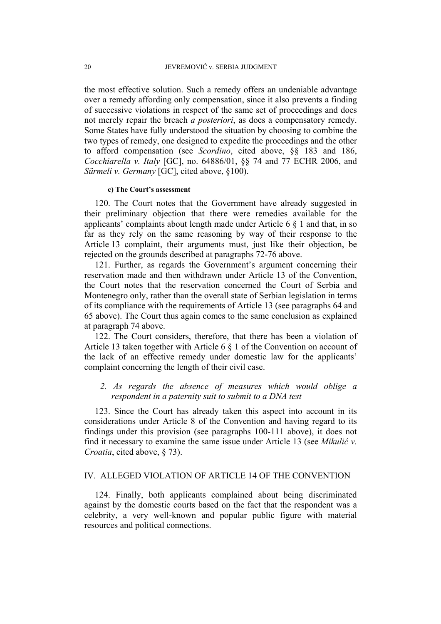the most effective solution. Such a remedy offers an undeniable advantage over a remedy affording only compensation, since it also prevents a finding of successive violations in respect of the same set of proceedings and does not merely repair the breach *a posteriori*, as does a compensatory remedy. Some States have fully understood the situation by choosing to combine the two types of remedy, one designed to expedite the proceedings and the other to afford compensation (see *Scordino*, cited above, §§ 183 and 186, *Cocchiarella v. Italy* [GC], no. 64886/01, §§ 74 and 77 ECHR 2006, and *Sürmeli v. Germany* [GC], cited above, §100).

#### **c) The Court's assessment**

120. The Court notes that the Government have already suggested in their preliminary objection that there were remedies available for the applicants' complaints about length made under Article 6  $\S$  1 and that, in so far as they rely on the same reasoning by way of their response to the Article 13 complaint, their arguments must, just like their objection, be rejected on the grounds described at paragraphs 72-76 above.

121. Further, as regards the Government's argument concerning their reservation made and then withdrawn under Article 13 of the Convention, the Court notes that the reservation concerned the Court of Serbia and Montenegro only, rather than the overall state of Serbian legislation in terms of its compliance with the requirements of Article 13 (see paragraphs 64 and 65 above). The Court thus again comes to the same conclusion as explained at paragraph 74 above.

122. The Court considers, therefore, that there has been a violation of Article 13 taken together with Article 6 § 1 of the Convention on account of the lack of an effective remedy under domestic law for the applicants' complaint concerning the length of their civil case.

# *2. As regards the absence of measures which would oblige a respondent in a paternity suit to submit to a DNA test*

123. Since the Court has already taken this aspect into account in its considerations under Article 8 of the Convention and having regard to its findings under this provision (see paragraphs 100-111 above), it does not find it necessary to examine the same issue under Article 13 (see *Mikulić v. Croatia*, cited above, § 73).

# IV. ALLEGED VIOLATION OF ARTICLE 14 OF THE CONVENTION

124. Finally, both applicants complained about being discriminated against by the domestic courts based on the fact that the respondent was a celebrity, a very well-known and popular public figure with material resources and political connections.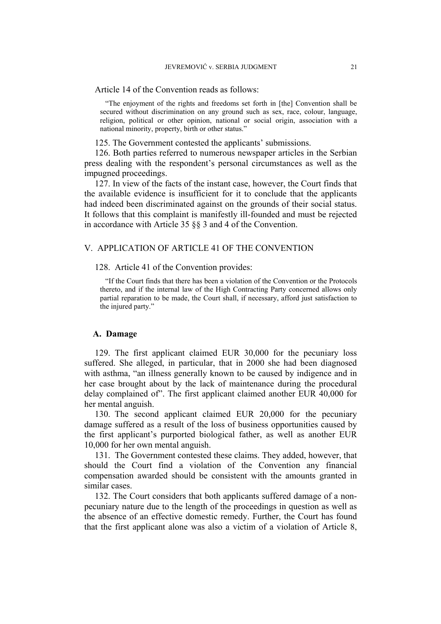Article 14 of the Convention reads as follows:

"The enjoyment of the rights and freedoms set forth in [the] Convention shall be secured without discrimination on any ground such as sex, race, colour, language, religion, political or other opinion, national or social origin, association with a national minority, property, birth or other status."

125. The Government contested the applicants' submissions.

126. Both parties referred to numerous newspaper articles in the Serbian press dealing with the respondent's personal circumstances as well as the impugned proceedings.

127. In view of the facts of the instant case, however, the Court finds that the available evidence is insufficient for it to conclude that the applicants had indeed been discriminated against on the grounds of their social status. It follows that this complaint is manifestly ill-founded and must be rejected in accordance with Article 35 §§ 3 and 4 of the Convention.

## V. APPLICATION OF ARTICLE 41 OF THE CONVENTION

128. Article 41 of the Convention provides:

"If the Court finds that there has been a violation of the Convention or the Protocols thereto, and if the internal law of the High Contracting Party concerned allows only partial reparation to be made, the Court shall, if necessary, afford just satisfaction to the injured party."

#### **A. Damage**

129. The first applicant claimed EUR 30,000 for the pecuniary loss suffered. She alleged, in particular, that in 2000 she had been diagnosed with asthma, "an illness generally known to be caused by indigence and in her case brought about by the lack of maintenance during the procedural delay complained of". The first applicant claimed another EUR 40,000 for her mental anguish.

130. The second applicant claimed EUR 20,000 for the pecuniary damage suffered as a result of the loss of business opportunities caused by the first applicant's purported biological father, as well as another EUR 10,000 for her own mental anguish.

131. The Government contested these claims. They added, however, that should the Court find a violation of the Convention any financial compensation awarded should be consistent with the amounts granted in similar cases.

132. The Court considers that both applicants suffered damage of a nonpecuniary nature due to the length of the proceedings in question as well as the absence of an effective domestic remedy. Further, the Court has found that the first applicant alone was also a victim of a violation of Article 8,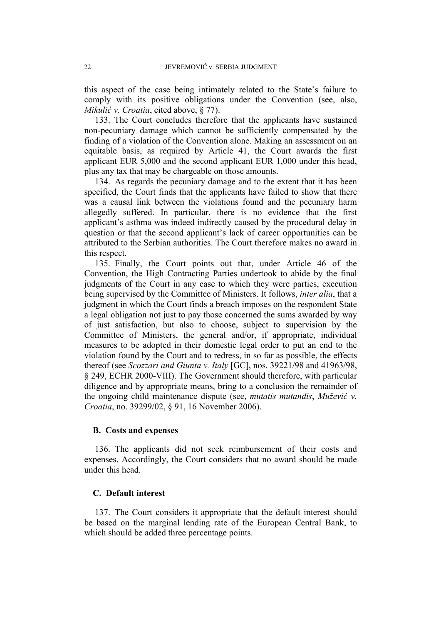this aspect of the case being intimately related to the State's failure to comply with its positive obligations under the Convention (see, also, *Mikulić v. Croatia*, cited above, § 77).

133. The Court concludes therefore that the applicants have sustained non-pecuniary damage which cannot be sufficiently compensated by the finding of a violation of the Convention alone. Making an assessment on an equitable basis, as required by Article 41, the Court awards the first applicant EUR 5,000 and the second applicant EUR 1,000 under this head, plus any tax that may be chargeable on those amounts.

134. As regards the pecuniary damage and to the extent that it has been specified, the Court finds that the applicants have failed to show that there was a causal link between the violations found and the pecuniary harm allegedly suffered. In particular, there is no evidence that the first applicant's asthma was indeed indirectly caused by the procedural delay in question or that the second applicant's lack of career opportunities can be attributed to the Serbian authorities. The Court therefore makes no award in this respect.

135. Finally, the Court points out that, under Article 46 of the Convention, the High Contracting Parties undertook to abide by the final judgments of the Court in any case to which they were parties, execution being supervised by the Committee of Ministers. It follows, *inter alia*, that a judgment in which the Court finds a breach imposes on the respondent State a legal obligation not just to pay those concerned the sums awarded by way of just satisfaction, but also to choose, subject to supervision by the Committee of Ministers, the general and/or, if appropriate, individual measures to be adopted in their domestic legal order to put an end to the violation found by the Court and to redress, in so far as possible, the effects thereof (see *Scozzari and Giunta v. Italy* [GC], nos. 39221/98 and 41963/98, § 249, ECHR 2000-VIII). The Government should therefore, with particular diligence and by appropriate means, bring to a conclusion the remainder of the ongoing child maintenance dispute (see, *mutatis mutandis*, *Mužević v. Croatia*, no. 39299/02, § 91, 16 November 2006).

# **B. Costs and expenses**

136. The applicants did not seek reimbursement of their costs and expenses. Accordingly, the Court considers that no award should be made under this head.

# **C. Default interest**

137. The Court considers it appropriate that the default interest should be based on the marginal lending rate of the European Central Bank, to which should be added three percentage points.